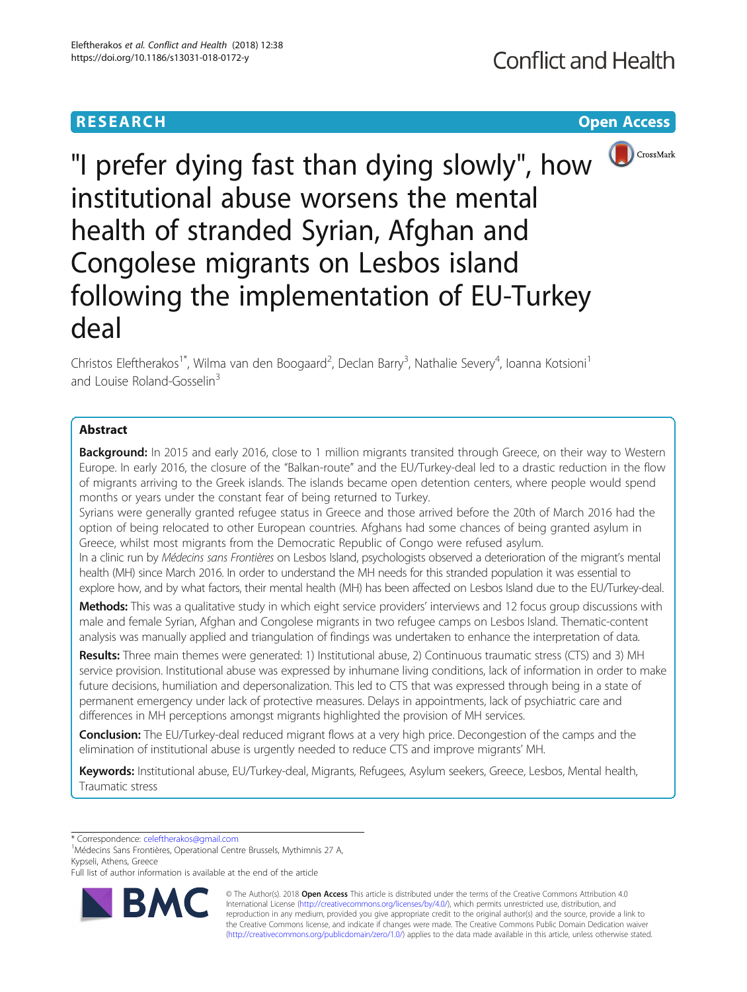# **RESEARCH CHINESE ARCHITECT IN THE SECOND CONTRACT OF ACCESS**



"I prefer dying fast than dying slowly", how institutional abuse worsens the mental health of stranded Syrian, Afghan and Congolese migrants on Lesbos island following the implementation of EU-Turkey deal

Christos Eleftherakos<sup>1\*</sup>, Wilma van den Boogaard<sup>2</sup>, Declan Barry<sup>3</sup>, Nathalie Severy<sup>4</sup>, Ioanna Kotsioni<sup>1</sup> and Louise Roland-Gosselin<sup>3</sup>

# Abstract

**Background:** In 2015 and early 2016, close to 1 million migrants transited through Greece, on their way to Western Europe. In early 2016, the closure of the "Balkan-route" and the EU/Turkey-deal led to a drastic reduction in the flow of migrants arriving to the Greek islands. The islands became open detention centers, where people would spend months or years under the constant fear of being returned to Turkey.

Syrians were generally granted refugee status in Greece and those arrived before the 20th of March 2016 had the option of being relocated to other European countries. Afghans had some chances of being granted asylum in Greece, whilst most migrants from the Democratic Republic of Congo were refused asylum.

In a clinic run by Médecins sans Frontières on Lesbos Island, psychologists observed a deterioration of the migrant's mental health (MH) since March 2016. In order to understand the MH needs for this stranded population it was essential to explore how, and by what factors, their mental health (MH) has been affected on Lesbos Island due to the EU/Turkey-deal.

Methods: This was a qualitative study in which eight service providers' interviews and 12 focus group discussions with male and female Syrian, Afghan and Congolese migrants in two refugee camps on Lesbos Island. Thematic-content analysis was manually applied and triangulation of findings was undertaken to enhance the interpretation of data.

Results: Three main themes were generated: 1) Institutional abuse, 2) Continuous traumatic stress (CTS) and 3) MH service provision. Institutional abuse was expressed by inhumane living conditions, lack of information in order to make future decisions, humiliation and depersonalization. This led to CTS that was expressed through being in a state of permanent emergency under lack of protective measures. Delays in appointments, lack of psychiatric care and differences in MH perceptions amongst migrants highlighted the provision of MH services.

Conclusion: The EU/Turkey-deal reduced migrant flows at a very high price. Decongestion of the camps and the elimination of institutional abuse is urgently needed to reduce CTS and improve migrants' MH.

Keywords: Institutional abuse, EU/Turkey-deal, Migrants, Refugees, Asylum seekers, Greece, Lesbos, Mental health, Traumatic stress

\* Correspondence: [celeftherakos@gmail.com](mailto:celeftherakos@gmail.com) <sup>1</sup>

<sup>1</sup>Médecins Sans Frontières, Operational Centre Brussels, Mythimnis 27 A, Kypseli, Athens, Greece

Full list of author information is available at the end of the article



© The Author(s). 2018 Open Access This article is distributed under the terms of the Creative Commons Attribution 4.0 International License [\(http://creativecommons.org/licenses/by/4.0/](http://creativecommons.org/licenses/by/4.0/)), which permits unrestricted use, distribution, and reproduction in any medium, provided you give appropriate credit to the original author(s) and the source, provide a link to the Creative Commons license, and indicate if changes were made. The Creative Commons Public Domain Dedication waiver [\(http://creativecommons.org/publicdomain/zero/1.0/](http://creativecommons.org/publicdomain/zero/1.0/)) applies to the data made available in this article, unless otherwise stated.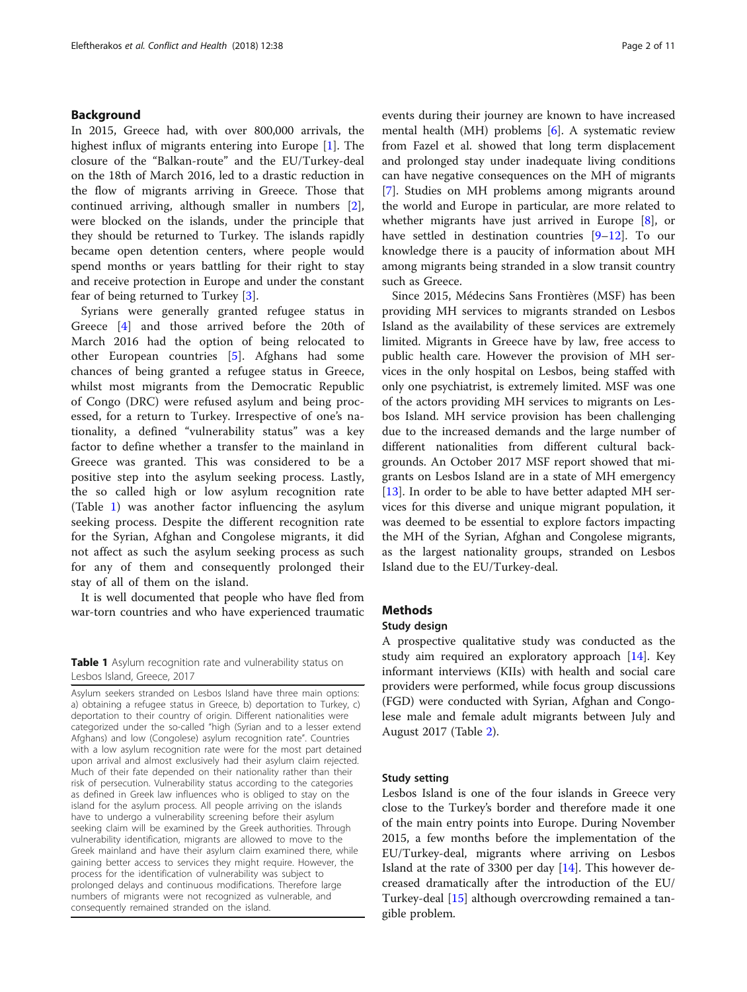# Background

In 2015, Greece had, with over 800,000 arrivals, the highest influx of migrants entering into Europe [[1\]](#page-9-0). The closure of the "Balkan-route" and the EU/Turkey-deal on the 18th of March 2016, led to a drastic reduction in the flow of migrants arriving in Greece. Those that continued arriving, although smaller in numbers [\[2](#page-9-0)], were blocked on the islands, under the principle that they should be returned to Turkey. The islands rapidly became open detention centers, where people would spend months or years battling for their right to stay and receive protection in Europe and under the constant fear of being returned to Turkey [\[3](#page-9-0)].

Syrians were generally granted refugee status in Greece [[4\]](#page-9-0) and those arrived before the 20th of March 2016 had the option of being relocated to other European countries [[5\]](#page-9-0). Afghans had some chances of being granted a refugee status in Greece, whilst most migrants from the Democratic Republic of Congo (DRC) were refused asylum and being processed, for a return to Turkey. Irrespective of one's nationality, a defined "vulnerability status" was a key factor to define whether a transfer to the mainland in Greece was granted. This was considered to be a positive step into the asylum seeking process. Lastly, the so called high or low asylum recognition rate (Table 1) was another factor influencing the asylum seeking process. Despite the different recognition rate for the Syrian, Afghan and Congolese migrants, it did not affect as such the asylum seeking process as such for any of them and consequently prolonged their stay of all of them on the island.

It is well documented that people who have fled from war-torn countries and who have experienced traumatic

Table 1 Asylum recognition rate and vulnerability status on Lesbos Island, Greece, 2017

Asylum seekers stranded on Lesbos Island have three main options: a) obtaining a refugee status in Greece, b) deportation to Turkey, c) deportation to their country of origin. Different nationalities were categorized under the so-called "high (Syrian and to a lesser extend Afghans) and low (Congolese) asylum recognition rate". Countries with a low asylum recognition rate were for the most part detained upon arrival and almost exclusively had their asylum claim rejected. Much of their fate depended on their nationality rather than their risk of persecution. Vulnerability status according to the categories as defined in Greek law influences who is obliged to stay on the island for the asylum process. All people arriving on the islands have to undergo a vulnerability screening before their asylum seeking claim will be examined by the Greek authorities. Through vulnerability identification, migrants are allowed to move to the Greek mainland and have their asylum claim examined there, while gaining better access to services they might require. However, the process for the identification of vulnerability was subject to prolonged delays and continuous modifications. Therefore large numbers of migrants were not recognized as vulnerable, and consequently remained stranded on the island.

events during their journey are known to have increased mental health (MH) problems [[6](#page-9-0)]. A systematic review from Fazel et al. showed that long term displacement and prolonged stay under inadequate living conditions can have negative consequences on the MH of migrants [[7\]](#page-9-0). Studies on MH problems among migrants around the world and Europe in particular, are more related to whether migrants have just arrived in Europe [\[8](#page-9-0)], or have settled in destination countries [[9](#page-9-0)–[12](#page-9-0)]. To our knowledge there is a paucity of information about MH among migrants being stranded in a slow transit country such as Greece.

Since 2015, Médecins Sans Frontières (MSF) has been providing MH services to migrants stranded on Lesbos Island as the availability of these services are extremely limited. Migrants in Greece have by law, free access to public health care. However the provision of MH services in the only hospital on Lesbos, being staffed with only one psychiatrist, is extremely limited. MSF was one of the actors providing MH services to migrants on Lesbos Island. MH service provision has been challenging due to the increased demands and the large number of different nationalities from different cultural backgrounds. An October 2017 MSF report showed that migrants on Lesbos Island are in a state of MH emergency [[13\]](#page-9-0). In order to be able to have better adapted MH services for this diverse and unique migrant population, it was deemed to be essential to explore factors impacting the MH of the Syrian, Afghan and Congolese migrants, as the largest nationality groups, stranded on Lesbos Island due to the EU/Turkey-deal.

# Methods

# Study design

A prospective qualitative study was conducted as the study aim required an exploratory approach [\[14\]](#page-9-0). Key informant interviews (KIIs) with health and social care providers were performed, while focus group discussions (FGD) were conducted with Syrian, Afghan and Congolese male and female adult migrants between July and August 2017 (Table [2\)](#page-2-0).

# Study setting

Lesbos Island is one of the four islands in Greece very close to the Turkey's border and therefore made it one of the main entry points into Europe. During November 2015, a few months before the implementation of the EU/Turkey-deal, migrants where arriving on Lesbos Island at the rate of 3300 per day [\[14](#page-9-0)]. This however decreased dramatically after the introduction of the EU/ Turkey-deal [\[15](#page-9-0)] although overcrowding remained a tangible problem.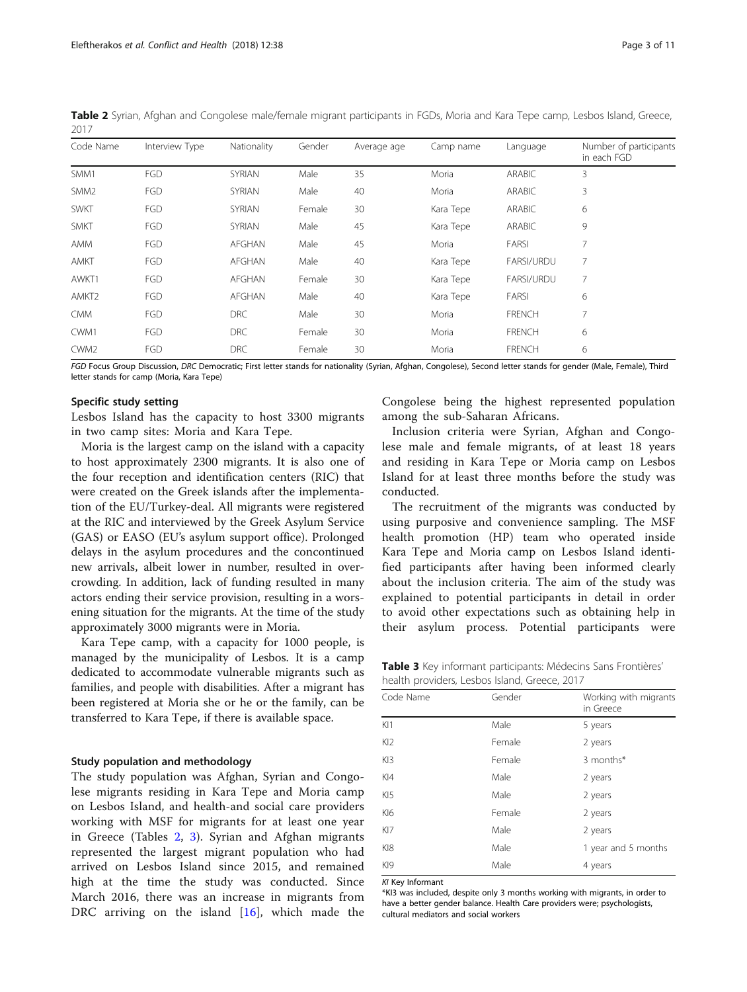| Code Name         | Interview Type | Nationality   | Gender | Average age | Camp name | Language          | Number of participants<br>in each FGD |
|-------------------|----------------|---------------|--------|-------------|-----------|-------------------|---------------------------------------|
| SMM1              | <b>FGD</b>     | <b>SYRIAN</b> | Male   | 35          | Moria     | <b>ARABIC</b>     | 3                                     |
| SMM <sub>2</sub>  | <b>FGD</b>     | <b>SYRIAN</b> | Male   | 40          | Moria     | ARABIC            | 3                                     |
| <b>SWKT</b>       | <b>FGD</b>     | <b>SYRIAN</b> | Female | 30          | Kara Tepe | <b>ARABIC</b>     | 6                                     |
| <b>SMKT</b>       | <b>FGD</b>     | <b>SYRIAN</b> | Male   | 45          | Kara Tepe | <b>ARABIC</b>     | 9                                     |
| <b>AMM</b>        | <b>FGD</b>     | <b>AFGHAN</b> | Male   | 45          | Moria     | <b>FARSI</b>      |                                       |
| AMKT              | <b>FGD</b>     | <b>AFGHAN</b> | Male   | 40          | Kara Tepe | <b>FARSI/URDU</b> | 7                                     |
| AWKT1             | <b>FGD</b>     | <b>AFGHAN</b> | Female | 30          | Kara Tepe | <b>FARSI/URDU</b> | 7                                     |
| AMKT <sub>2</sub> | <b>FGD</b>     | <b>AFGHAN</b> | Male   | 40          | Kara Tepe | <b>FARSI</b>      | 6                                     |
| <b>CMM</b>        | <b>FGD</b>     | <b>DRC</b>    | Male   | 30          | Moria     | <b>FRENCH</b>     | 7                                     |
| CWM1              | <b>FGD</b>     | <b>DRC</b>    | Female | 30          | Moria     | <b>FRENCH</b>     | 6                                     |
| CWM <sub>2</sub>  | <b>FGD</b>     | <b>DRC</b>    | Female | 30          | Moria     | <b>FRENCH</b>     | 6                                     |

<span id="page-2-0"></span>Table 2 Syrian, Afghan and Congolese male/female migrant participants in FGDs, Moria and Kara Tepe camp, Lesbos Island, Greece, 2017

FGD Focus Group Discussion, DRC Democratic; First letter stands for nationality (Syrian, Afghan, Congolese), Second letter stands for gender (Male, Female), Third letter stands for camp (Moria, Kara Tepe)

# Specific study setting

Lesbos Island has the capacity to host 3300 migrants in two camp sites: Moria and Kara Tepe.

Moria is the largest camp on the island with a capacity to host approximately 2300 migrants. It is also one of the four reception and identification centers (RIC) that were created on the Greek islands after the implementation of the EU/Turkey-deal. All migrants were registered at the RIC and interviewed by the Greek Asylum Service (GAS) or EASO (EU's asylum support office). Prolonged delays in the asylum procedures and the concontinued new arrivals, albeit lower in number, resulted in overcrowding. In addition, lack of funding resulted in many actors ending their service provision, resulting in a worsening situation for the migrants. At the time of the study approximately 3000 migrants were in Moria.

Kara Tepe camp, with a capacity for 1000 people, is managed by the municipality of Lesbos. It is a camp dedicated to accommodate vulnerable migrants such as families, and people with disabilities. After a migrant has been registered at Moria she or he or the family, can be transferred to Kara Tepe, if there is available space.

## Study population and methodology

The study population was Afghan, Syrian and Congolese migrants residing in Kara Tepe and Moria camp on Lesbos Island, and health-and social care providers working with MSF for migrants for at least one year in Greece (Tables 2, 3). Syrian and Afghan migrants represented the largest migrant population who had arrived on Lesbos Island since 2015, and remained high at the time the study was conducted. Since March 2016, there was an increase in migrants from DRC arriving on the island [\[16](#page-9-0)], which made the

Congolese being the highest represented population among the sub-Saharan Africans.

Inclusion criteria were Syrian, Afghan and Congolese male and female migrants, of at least 18 years and residing in Kara Tepe or Moria camp on Lesbos Island for at least three months before the study was conducted.

The recruitment of the migrants was conducted by using purposive and convenience sampling. The MSF health promotion (HP) team who operated inside Kara Tepe and Moria camp on Lesbos Island identified participants after having been informed clearly about the inclusion criteria. The aim of the study was explained to potential participants in detail in order to avoid other expectations such as obtaining help in their asylum process. Potential participants were

**Table 3** Key informant participants: Médecins Sans Frontières' health providers, Lesbos Island, Greece, 2017

| Code Name       | Gender | Working with migrants<br>in Greece |
|-----------------|--------|------------------------------------|
| KI1             | Male   | 5 years                            |
| K12             | Female | 2 years                            |
| K13             | Female | 3 months*                          |
| KI4             | Male   | 2 years                            |
| KI5             | Male   | 2 years                            |
| KI6             | Female | 2 years                            |
| K <sub>17</sub> | Male   | 2 years                            |
| KI8             | Male   | 1 year and 5 months                |
| KI9             | Male   | 4 years                            |
|                 |        |                                    |

KI Key Informant

\*KI3 was included, despite only 3 months working with migrants, in order to have a better gender balance. Health Care providers were; psychologists, cultural mediators and social workers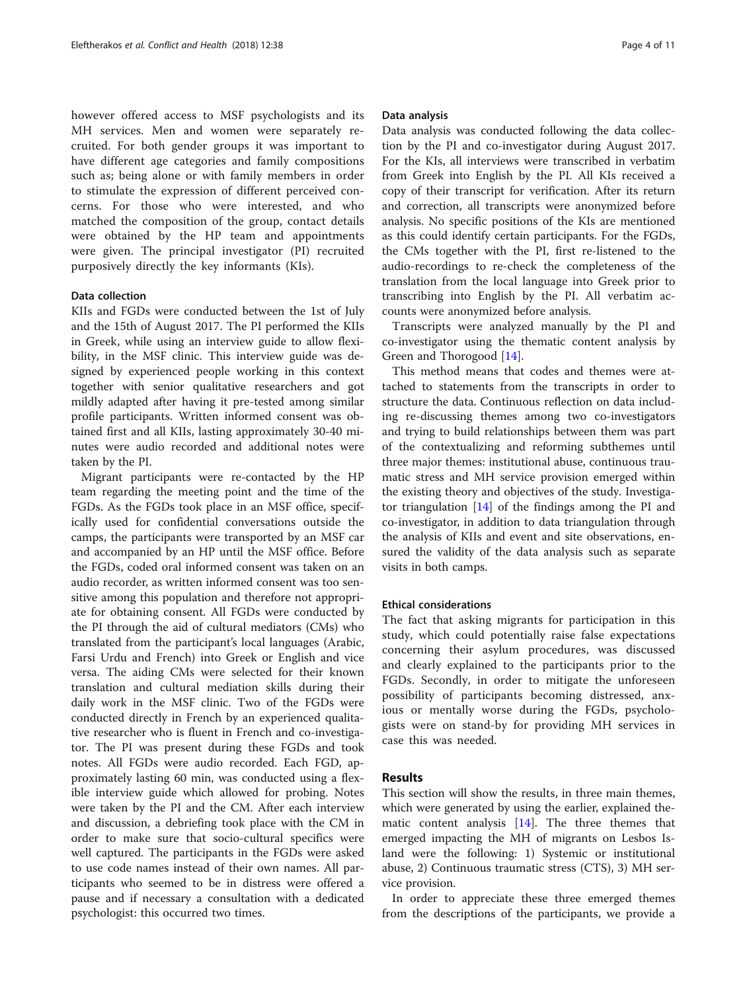however offered access to MSF psychologists and its MH services. Men and women were separately recruited. For both gender groups it was important to have different age categories and family compositions such as; being alone or with family members in order to stimulate the expression of different perceived concerns. For those who were interested, and who matched the composition of the group, contact details were obtained by the HP team and appointments were given. The principal investigator (PI) recruited purposively directly the key informants (KIs).

# Data collection

KIIs and FGDs were conducted between the 1st of July and the 15th of August 2017. The PI performed the KIIs in Greek, while using an interview guide to allow flexibility, in the MSF clinic. This interview guide was designed by experienced people working in this context together with senior qualitative researchers and got mildly adapted after having it pre-tested among similar profile participants. Written informed consent was obtained first and all KIIs, lasting approximately 30-40 minutes were audio recorded and additional notes were taken by the PI.

Migrant participants were re-contacted by the HP team regarding the meeting point and the time of the FGDs. As the FGDs took place in an MSF office, specifically used for confidential conversations outside the camps, the participants were transported by an MSF car and accompanied by an HP until the MSF office. Before the FGDs, coded oral informed consent was taken on an audio recorder, as written informed consent was too sensitive among this population and therefore not appropriate for obtaining consent. All FGDs were conducted by the PI through the aid of cultural mediators (CMs) who translated from the participant's local languages (Arabic, Farsi Urdu and French) into Greek or English and vice versa. The aiding CMs were selected for their known translation and cultural mediation skills during their daily work in the MSF clinic. Two of the FGDs were conducted directly in French by an experienced qualitative researcher who is fluent in French and co-investigator. The PI was present during these FGDs and took notes. All FGDs were audio recorded. Each FGD, approximately lasting 60 min, was conducted using a flexible interview guide which allowed for probing. Notes were taken by the PI and the CM. After each interview and discussion, a debriefing took place with the CM in order to make sure that socio-cultural specifics were well captured. The participants in the FGDs were asked to use code names instead of their own names. All participants who seemed to be in distress were offered a pause and if necessary a consultation with a dedicated psychologist: this occurred two times.

## Data analysis

Data analysis was conducted following the data collection by the PI and co-investigator during August 2017. For the KIs, all interviews were transcribed in verbatim from Greek into English by the PI. All KIs received a copy of their transcript for verification. After its return and correction, all transcripts were anonymized before analysis. No specific positions of the KIs are mentioned as this could identify certain participants. For the FGDs, the CMs together with the PI, first re-listened to the audio-recordings to re-check the completeness of the translation from the local language into Greek prior to transcribing into English by the PI. All verbatim accounts were anonymized before analysis.

Transcripts were analyzed manually by the PI and co-investigator using the thematic content analysis by Green and Thorogood [[14\]](#page-9-0).

This method means that codes and themes were attached to statements from the transcripts in order to structure the data. Continuous reflection on data including re-discussing themes among two co-investigators and trying to build relationships between them was part of the contextualizing and reforming subthemes until three major themes: institutional abuse, continuous traumatic stress and MH service provision emerged within the existing theory and objectives of the study. Investigator triangulation [\[14\]](#page-9-0) of the findings among the PI and co-investigator, in addition to data triangulation through the analysis of KIIs and event and site observations, ensured the validity of the data analysis such as separate visits in both camps.

## Ethical considerations

The fact that asking migrants for participation in this study, which could potentially raise false expectations concerning their asylum procedures, was discussed and clearly explained to the participants prior to the FGDs. Secondly, in order to mitigate the unforeseen possibility of participants becoming distressed, anxious or mentally worse during the FGDs, psychologists were on stand-by for providing MH services in case this was needed.

# Results

This section will show the results, in three main themes, which were generated by using the earlier, explained thematic content analysis [[14](#page-9-0)]. The three themes that emerged impacting the MH of migrants on Lesbos Island were the following: 1) Systemic or institutional abuse, 2) Continuous traumatic stress (CTS), 3) MH service provision.

In order to appreciate these three emerged themes from the descriptions of the participants, we provide a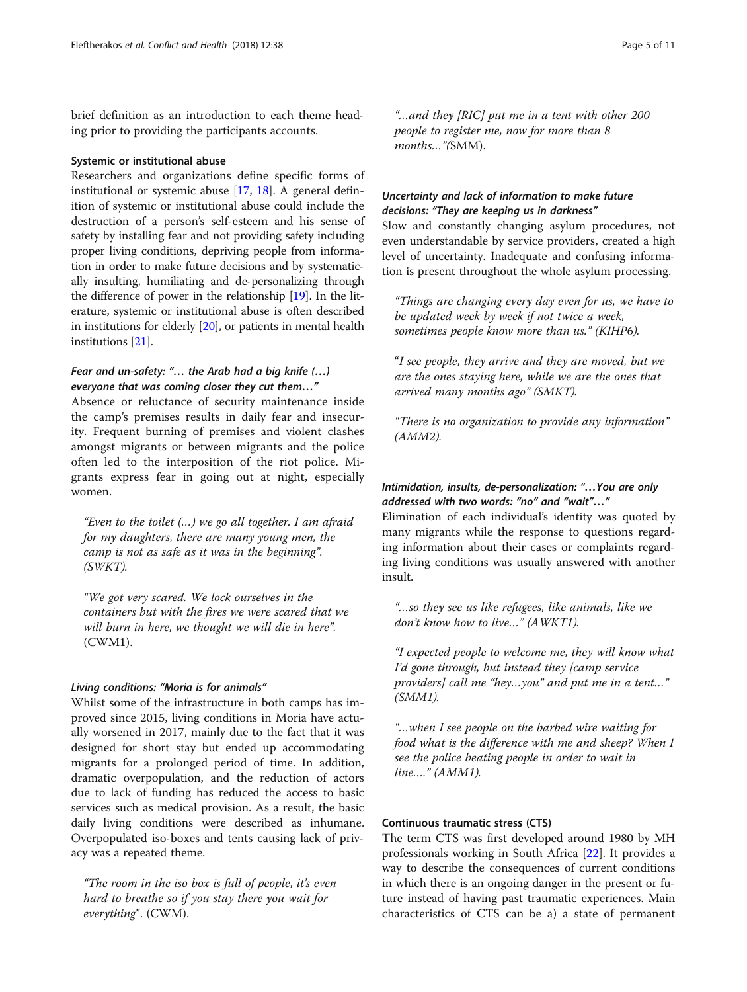brief definition as an introduction to each theme heading prior to providing the participants accounts.

# Systemic or institutional abuse

Researchers and organizations define specific forms of institutional or systemic abuse [\[17](#page-9-0), [18](#page-9-0)]. A general definition of systemic or institutional abuse could include the destruction of a person's self-esteem and his sense of safety by installing fear and not providing safety including proper living conditions, depriving people from information in order to make future decisions and by systematically insulting, humiliating and de-personalizing through the difference of power in the relationship  $[19]$  $[19]$  $[19]$ . In the literature, systemic or institutional abuse is often described in institutions for elderly [[20](#page-9-0)], or patients in mental health institutions [\[21\]](#page-9-0).

# Fear and un-safety: "… the Arab had a big knife (…) everyone that was coming closer they cut them…"

Absence or reluctance of security maintenance inside the camp's premises results in daily fear and insecurity. Frequent burning of premises and violent clashes amongst migrants or between migrants and the police often led to the interposition of the riot police. Migrants express fear in going out at night, especially women.

"Even to the toilet (…) we go all together. I am afraid for my daughters, there are many young men, the camp is not as safe as it was in the beginning". (SWKT).

"We got very scared. We lock ourselves in the containers but with the fires we were scared that we will burn in here, we thought we will die in here". (CWM1).

# Living conditions: "Moria is for animals"

Whilst some of the infrastructure in both camps has improved since 2015, living conditions in Moria have actually worsened in 2017, mainly due to the fact that it was designed for short stay but ended up accommodating migrants for a prolonged period of time. In addition, dramatic overpopulation, and the reduction of actors due to lack of funding has reduced the access to basic services such as medical provision. As a result, the basic daily living conditions were described as inhumane. Overpopulated iso-boxes and tents causing lack of privacy was a repeated theme.

"The room in the iso box is full of people, it's even hard to breathe so if you stay there you wait for everything". (CWM).

"…and they [RIC] put me in a tent with other 200 people to register me, now for more than 8 months…"(SMM).

# Uncertainty and lack of information to make future decisions: "They are keeping us in darkness"

Slow and constantly changing asylum procedures, not even understandable by service providers, created a high level of uncertainty. Inadequate and confusing information is present throughout the whole asylum processing.

"Things are changing every day even for us, we have to be updated week by week if not twice a week, sometimes people know more than us." (KIHP6).

"I see people, they arrive and they are moved, but we are the ones staying here, while we are the ones that arrived many months ago" (SMKT).

"There is no organization to provide any information" (AMM2).

# Intimidation, insults, de-personalization: "…You are only addressed with two words: "no" and "wait"…"

Elimination of each individual's identity was quoted by many migrants while the response to questions regarding information about their cases or complaints regarding living conditions was usually answered with another insult.

"…so they see us like refugees, like animals, like we don't know how to live…" (AWKT1).

"I expected people to welcome me, they will know what I'd gone through, but instead they [camp service providers] call me "hey…you" and put me in a tent…" (SMM1).

"…when I see people on the barbed wire waiting for food what is the difference with me and sheep? When I see the police beating people in order to wait in line…." (AMM1).

# Continuous traumatic stress (CTS)

The term CTS was first developed around 1980 by MH professionals working in South Africa [[22\]](#page-9-0). It provides a way to describe the consequences of current conditions in which there is an ongoing danger in the present or future instead of having past traumatic experiences. Main characteristics of CTS can be a) a state of permanent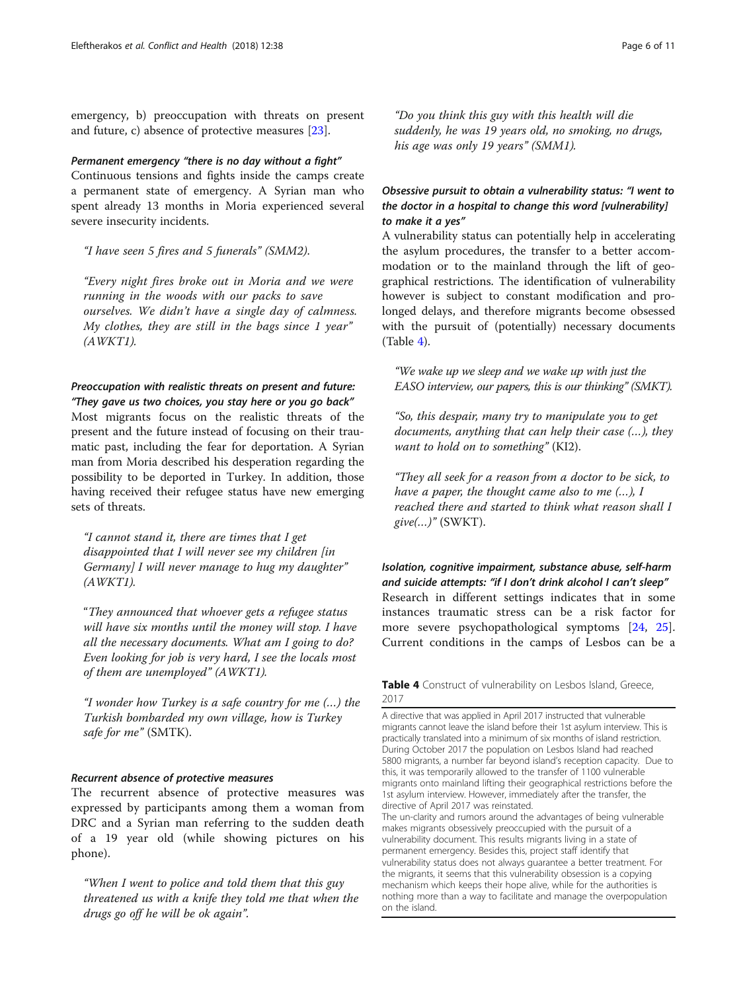emergency, b) preoccupation with threats on present and future, c) absence of protective measures [\[23](#page-10-0)].

# Permanent emergency "there is no day without a fight"

Continuous tensions and fights inside the camps create a permanent state of emergency. A Syrian man who spent already 13 months in Moria experienced several severe insecurity incidents.

"I have seen 5 fires and 5 funerals" (SMM2).

"Every night fires broke out in Moria and we were running in the woods with our packs to save ourselves. We didn't have a single day of calmness. My clothes, they are still in the bags since  $1$  year" (AWKT1).

# Preoccupation with realistic threats on present and future:

"They gave us two choices, you stay here or you go back" Most migrants focus on the realistic threats of the present and the future instead of focusing on their traumatic past, including the fear for deportation. A Syrian man from Moria described his desperation regarding the possibility to be deported in Turkey. In addition, those having received their refugee status have new emerging sets of threats.

"I cannot stand it, there are times that I get disappointed that I will never see my children [in Germany] I will never manage to hug my daughter" (AWKT1).

"They announced that whoever gets a refugee status will have six months until the money will stop. I have all the necessary documents. What am I going to do? Even looking for job is very hard, I see the locals most of them are unemployed" (AWKT1).

"I wonder how Turkey is a safe country for me (…) the Turkish bombarded my own village, how is Turkey safe for me" (SMTK).

# Recurrent absence of protective measures

The recurrent absence of protective measures was expressed by participants among them a woman from DRC and a Syrian man referring to the sudden death of a 19 year old (while showing pictures on his phone).

"When I went to police and told them that this guy threatened us with a knife they told me that when the drugs go off he will be ok again".

"Do you think this guy with this health will die suddenly, he was 19 years old, no smoking, no drugs, his age was only 19 years" (SMM1).

# Obsessive pursuit to obtain a vulnerability status: "I went to the doctor in a hospital to change this word [vulnerability] to make it a yes"

A vulnerability status can potentially help in accelerating the asylum procedures, the transfer to a better accommodation or to the mainland through the lift of geographical restrictions. The identification of vulnerability however is subject to constant modification and prolonged delays, and therefore migrants become obsessed with the pursuit of (potentially) necessary documents (Table 4).

"We wake up we sleep and we wake up with just the EASO interview, our papers, this is our thinking" (SMKT).

"So, this despair, many try to manipulate you to get documents, anything that can help their case (…), they want to hold on to something" (KI2).

"They all seek for a reason from a doctor to be sick, to have a paper, the thought came also to me  $(...)$ , I reached there and started to think what reason shall I  $give(...)$ " (SWKT).

Isolation, cognitive impairment, substance abuse, self-harm and suicide attempts: "if I don't drink alcohol I can't sleep" Research in different settings indicates that in some instances traumatic stress can be a risk factor for more severe psychopathological symptoms [\[24](#page-10-0), [25](#page-10-0)]. Current conditions in the camps of Lesbos can be a

Table 4 Construct of vulnerability on Lesbos Island, Greece, 2017

A directive that was applied in April 2017 instructed that vulnerable migrants cannot leave the island before their 1st asylum interview. This is practically translated into a minimum of six months of island restriction. During October 2017 the population on Lesbos Island had reached 5800 migrants, a number far beyond island's reception capacity. Due to this, it was temporarily allowed to the transfer of 1100 vulnerable migrants onto mainland lifting their geographical restrictions before the 1st asylum interview. However, immediately after the transfer, the directive of April 2017 was reinstated.

The un-clarity and rumors around the advantages of being vulnerable makes migrants obsessively preoccupied with the pursuit of a vulnerability document. This results migrants living in a state of permanent emergency. Besides this, project staff identify that vulnerability status does not always guarantee a better treatment. For the migrants, it seems that this vulnerability obsession is a copying mechanism which keeps their hope alive, while for the authorities is nothing more than a way to facilitate and manage the overpopulation on the island.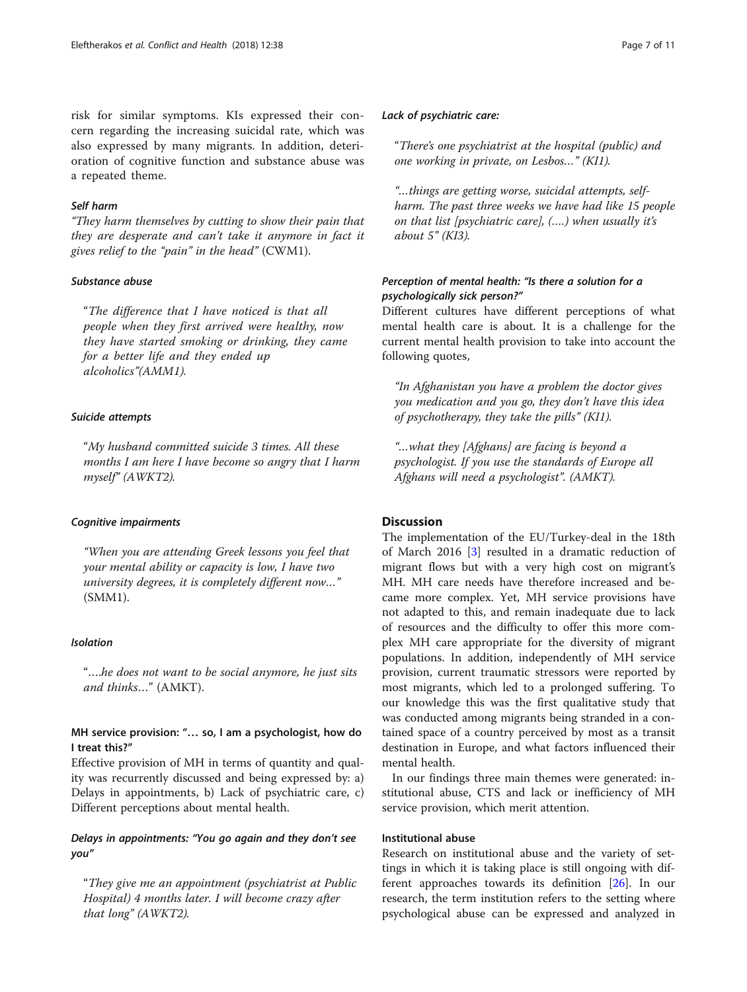risk for similar symptoms. KIs expressed their concern regarding the increasing suicidal rate, which was also expressed by many migrants. In addition, deterioration of cognitive function and substance abuse was a repeated theme.

# Self harm

"They harm themselves by cutting to show their pain that they are desperate and can't take it anymore in fact it gives relief to the "pain" in the head" (CWM1).

# Substance abuse

"The difference that I have noticed is that all people when they first arrived were healthy, now they have started smoking or drinking, they came for a better life and they ended up alcoholics"(AMM1).

# Suicide attempts

"My husband committed suicide 3 times. All these months I am here I have become so angry that I harm myself" (AWKT2).

# Cognitive impairments

"When you are attending Greek lessons you feel that your mental ability or capacity is low, I have two university degrees, it is completely different now…" (SMM1).

# Isolation

"….he does not want to be social anymore, he just sits and thinks…" (AMKT).

# MH service provision: "… so, I am a psychologist, how do I treat this?"

Effective provision of MH in terms of quantity and quality was recurrently discussed and being expressed by: a) Delays in appointments, b) Lack of psychiatric care, c) Different perceptions about mental health.

# Delays in appointments: "You go again and they don't see you"

"They give me an appointment (psychiatrist at Public Hospital) 4 months later. I will become crazy after that long" (AWKT2).

# Lack of psychiatric care:

"There's one psychiatrist at the hospital (public) and one working in private, on Lesbos…" (KI1).

"…things are getting worse, suicidal attempts, selfharm. The past three weeks we have had like 15 people on that list [psychiatric care], (….) when usually it's about 5" (KI3).

# Perception of mental health: "Is there a solution for a psychologically sick person?"

Different cultures have different perceptions of what mental health care is about. It is a challenge for the current mental health provision to take into account the following quotes,

"In Afghanistan you have a problem the doctor gives you medication and you go, they don't have this idea of psychotherapy, they take the pills" (KI1).

"…what they [Afghans] are facing is beyond a psychologist. If you use the standards of Europe all Afghans will need a psychologist". (AMKT).

# **Discussion**

The implementation of the EU/Turkey-deal in the 18th of March 2016 [[3\]](#page-9-0) resulted in a dramatic reduction of migrant flows but with a very high cost on migrant's MH. MH care needs have therefore increased and became more complex. Yet, MH service provisions have not adapted to this, and remain inadequate due to lack of resources and the difficulty to offer this more complex MH care appropriate for the diversity of migrant populations. In addition, independently of MH service provision, current traumatic stressors were reported by most migrants, which led to a prolonged suffering. To our knowledge this was the first qualitative study that was conducted among migrants being stranded in a contained space of a country perceived by most as a transit destination in Europe, and what factors influenced their mental health.

In our findings three main themes were generated: institutional abuse, CTS and lack or inefficiency of MH service provision, which merit attention.

# Institutional abuse

Research on institutional abuse and the variety of settings in which it is taking place is still ongoing with different approaches towards its definition [[26\]](#page-10-0). In our research, the term institution refers to the setting where psychological abuse can be expressed and analyzed in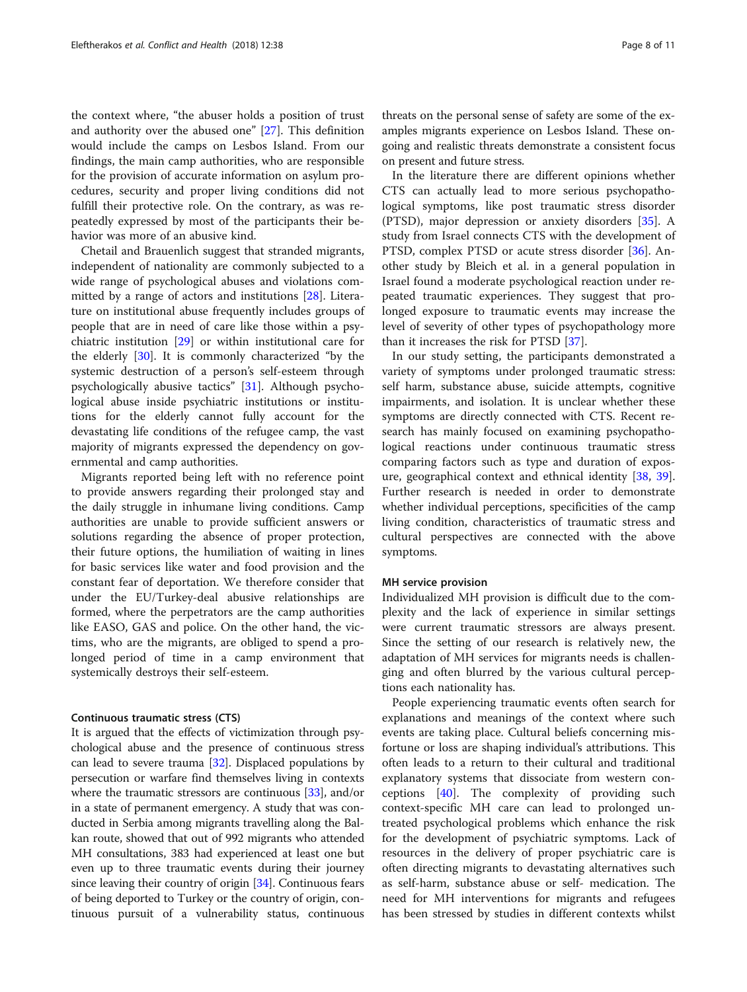the context where, "the abuser holds a position of trust and authority over the abused one" [[27\]](#page-10-0). This definition would include the camps on Lesbos Island. From our findings, the main camp authorities, who are responsible for the provision of accurate information on asylum procedures, security and proper living conditions did not fulfill their protective role. On the contrary, as was repeatedly expressed by most of the participants their behavior was more of an abusive kind.

Chetail and Brauenlich suggest that stranded migrants, independent of nationality are commonly subjected to a wide range of psychological abuses and violations committed by a range of actors and institutions [[28](#page-10-0)]. Literature on institutional abuse frequently includes groups of people that are in need of care like those within a psychiatric institution [[29\]](#page-10-0) or within institutional care for the elderly [[30\]](#page-10-0). It is commonly characterized "by the systemic destruction of a person's self-esteem through psychologically abusive tactics" [\[31](#page-10-0)]. Although psychological abuse inside psychiatric institutions or institutions for the elderly cannot fully account for the devastating life conditions of the refugee camp, the vast majority of migrants expressed the dependency on governmental and camp authorities.

Migrants reported being left with no reference point to provide answers regarding their prolonged stay and the daily struggle in inhumane living conditions. Camp authorities are unable to provide sufficient answers or solutions regarding the absence of proper protection, their future options, the humiliation of waiting in lines for basic services like water and food provision and the constant fear of deportation. We therefore consider that under the EU/Turkey-deal abusive relationships are formed, where the perpetrators are the camp authorities like EASO, GAS and police. On the other hand, the victims, who are the migrants, are obliged to spend a prolonged period of time in a camp environment that systemically destroys their self-esteem.

# Continuous traumatic stress (CTS)

It is argued that the effects of victimization through psychological abuse and the presence of continuous stress can lead to severe trauma [[32](#page-10-0)]. Displaced populations by persecution or warfare find themselves living in contexts where the traumatic stressors are continuous [[33](#page-10-0)], and/or in a state of permanent emergency. A study that was conducted in Serbia among migrants travelling along the Balkan route, showed that out of 992 migrants who attended MH consultations, 383 had experienced at least one but even up to three traumatic events during their journey since leaving their country of origin [[34](#page-10-0)]. Continuous fears of being deported to Turkey or the country of origin, continuous pursuit of a vulnerability status, continuous threats on the personal sense of safety are some of the examples migrants experience on Lesbos Island. These ongoing and realistic threats demonstrate a consistent focus on present and future stress.

In the literature there are different opinions whether CTS can actually lead to more serious psychopathological symptoms, like post traumatic stress disorder (PTSD), major depression or anxiety disorders [[35\]](#page-10-0). A study from Israel connects CTS with the development of PTSD, complex PTSD or acute stress disorder [\[36\]](#page-10-0). Another study by Bleich et al. in a general population in Israel found a moderate psychological reaction under repeated traumatic experiences. They suggest that prolonged exposure to traumatic events may increase the level of severity of other types of psychopathology more than it increases the risk for PTSD [\[37](#page-10-0)].

In our study setting, the participants demonstrated a variety of symptoms under prolonged traumatic stress: self harm, substance abuse, suicide attempts, cognitive impairments, and isolation. It is unclear whether these symptoms are directly connected with CTS. Recent research has mainly focused on examining psychopathological reactions under continuous traumatic stress comparing factors such as type and duration of exposure, geographical context and ethnical identity [\[38](#page-10-0), [39](#page-10-0)]. Further research is needed in order to demonstrate whether individual perceptions, specificities of the camp living condition, characteristics of traumatic stress and cultural perspectives are connected with the above symptoms.

# MH service provision

Individualized MH provision is difficult due to the complexity and the lack of experience in similar settings were current traumatic stressors are always present. Since the setting of our research is relatively new, the adaptation of MH services for migrants needs is challenging and often blurred by the various cultural perceptions each nationality has.

People experiencing traumatic events often search for explanations and meanings of the context where such events are taking place. Cultural beliefs concerning misfortune or loss are shaping individual's attributions. This often leads to a return to their cultural and traditional explanatory systems that dissociate from western conceptions [\[40\]](#page-10-0). The complexity of providing such context-specific MH care can lead to prolonged untreated psychological problems which enhance the risk for the development of psychiatric symptoms. Lack of resources in the delivery of proper psychiatric care is often directing migrants to devastating alternatives such as self-harm, substance abuse or self- medication. The need for MH interventions for migrants and refugees has been stressed by studies in different contexts whilst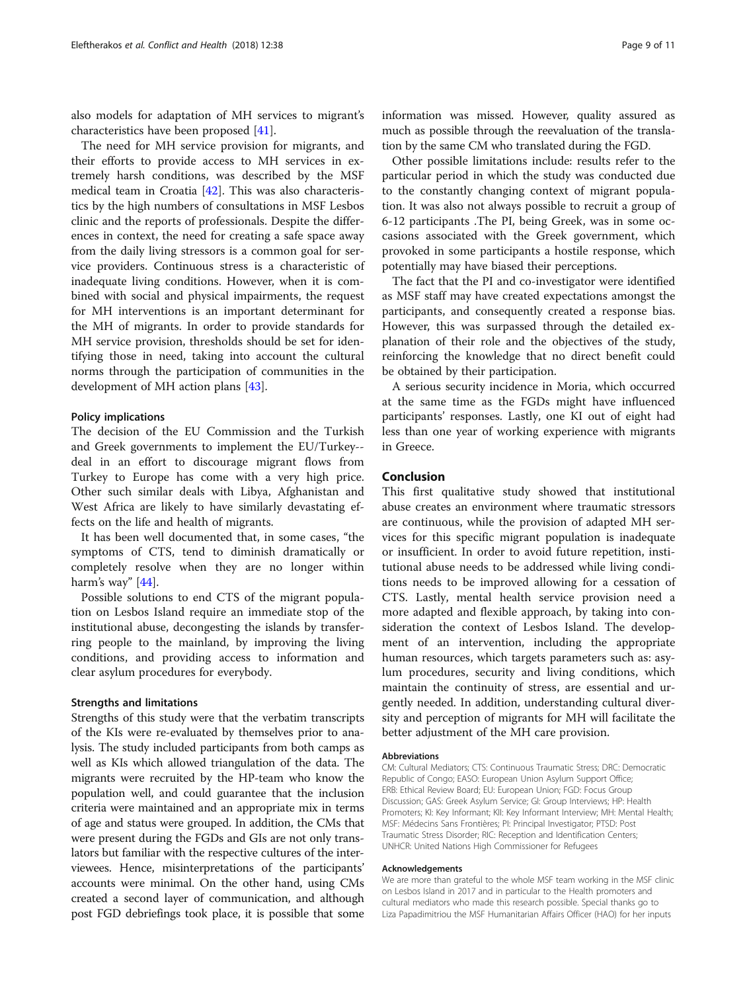also models for adaptation of MH services to migrant's characteristics have been proposed [\[41](#page-10-0)].

The need for MH service provision for migrants, and their efforts to provide access to MH services in extremely harsh conditions, was described by the MSF medical team in Croatia [\[42\]](#page-10-0). This was also characteristics by the high numbers of consultations in MSF Lesbos clinic and the reports of professionals. Despite the differences in context, the need for creating a safe space away from the daily living stressors is a common goal for service providers. Continuous stress is a characteristic of inadequate living conditions. However, when it is combined with social and physical impairments, the request for MH interventions is an important determinant for the MH of migrants. In order to provide standards for MH service provision, thresholds should be set for identifying those in need, taking into account the cultural norms through the participation of communities in the development of MH action plans [\[43](#page-10-0)].

# Policy implications

The decision of the EU Commission and the Turkish and Greek governments to implement the EU/Turkey- deal in an effort to discourage migrant flows from Turkey to Europe has come with a very high price. Other such similar deals with Libya, Afghanistan and West Africa are likely to have similarly devastating effects on the life and health of migrants.

It has been well documented that, in some cases, "the symptoms of CTS, tend to diminish dramatically or completely resolve when they are no longer within harm's way" [[44](#page-10-0)].

Possible solutions to end CTS of the migrant population on Lesbos Island require an immediate stop of the institutional abuse, decongesting the islands by transferring people to the mainland, by improving the living conditions, and providing access to information and clear asylum procedures for everybody.

## Strengths and limitations

Strengths of this study were that the verbatim transcripts of the KIs were re-evaluated by themselves prior to analysis. The study included participants from both camps as well as KIs which allowed triangulation of the data. The migrants were recruited by the HP-team who know the population well, and could guarantee that the inclusion criteria were maintained and an appropriate mix in terms of age and status were grouped. In addition, the CMs that were present during the FGDs and GIs are not only translators but familiar with the respective cultures of the interviewees. Hence, misinterpretations of the participants' accounts were minimal. On the other hand, using CMs created a second layer of communication, and although post FGD debriefings took place, it is possible that some information was missed. However, quality assured as much as possible through the reevaluation of the translation by the same CM who translated during the FGD.

Other possible limitations include: results refer to the particular period in which the study was conducted due to the constantly changing context of migrant population. It was also not always possible to recruit a group of 6-12 participants .The PI, being Greek, was in some occasions associated with the Greek government, which provoked in some participants a hostile response, which potentially may have biased their perceptions.

The fact that the PI and co-investigator were identified as MSF staff may have created expectations amongst the participants, and consequently created a response bias. However, this was surpassed through the detailed explanation of their role and the objectives of the study, reinforcing the knowledge that no direct benefit could be obtained by their participation.

A serious security incidence in Moria, which occurred at the same time as the FGDs might have influenced participants' responses. Lastly, one KI out of eight had less than one year of working experience with migrants in Greece.

## Conclusion

This first qualitative study showed that institutional abuse creates an environment where traumatic stressors are continuous, while the provision of adapted MH services for this specific migrant population is inadequate or insufficient. In order to avoid future repetition, institutional abuse needs to be addressed while living conditions needs to be improved allowing for a cessation of CTS. Lastly, mental health service provision need a more adapted and flexible approach, by taking into consideration the context of Lesbos Island. The development of an intervention, including the appropriate human resources, which targets parameters such as: asylum procedures, security and living conditions, which maintain the continuity of stress, are essential and urgently needed. In addition, understanding cultural diversity and perception of migrants for MH will facilitate the better adjustment of the MH care provision.

#### Abbreviations

CM: Cultural Mediators; CTS: Continuous Traumatic Stress; DRC: Democratic Republic of Congo; EASO: European Union Asylum Support Office; ERB: Ethical Review Board; EU: European Union; FGD: Focus Group Discussion; GAS: Greek Asylum Service; GI: Group Interviews; HP: Health Promoters; KI: Key Informant; KII: Key Informant Interview; MH: Mental Health; MSF: Médecins Sans Frontières; PI: Principal Investigator; PTSD: Post Traumatic Stress Disorder; RIC: Reception and Identification Centers; UNHCR: United Nations High Commissioner for Refugees

## Acknowledgements

We are more than grateful to the whole MSF team working in the MSF clinic on Lesbos Island in 2017 and in particular to the Health promoters and cultural mediators who made this research possible. Special thanks go to Liza Papadimitriou the MSF Humanitarian Affairs Officer (HAO) for her inputs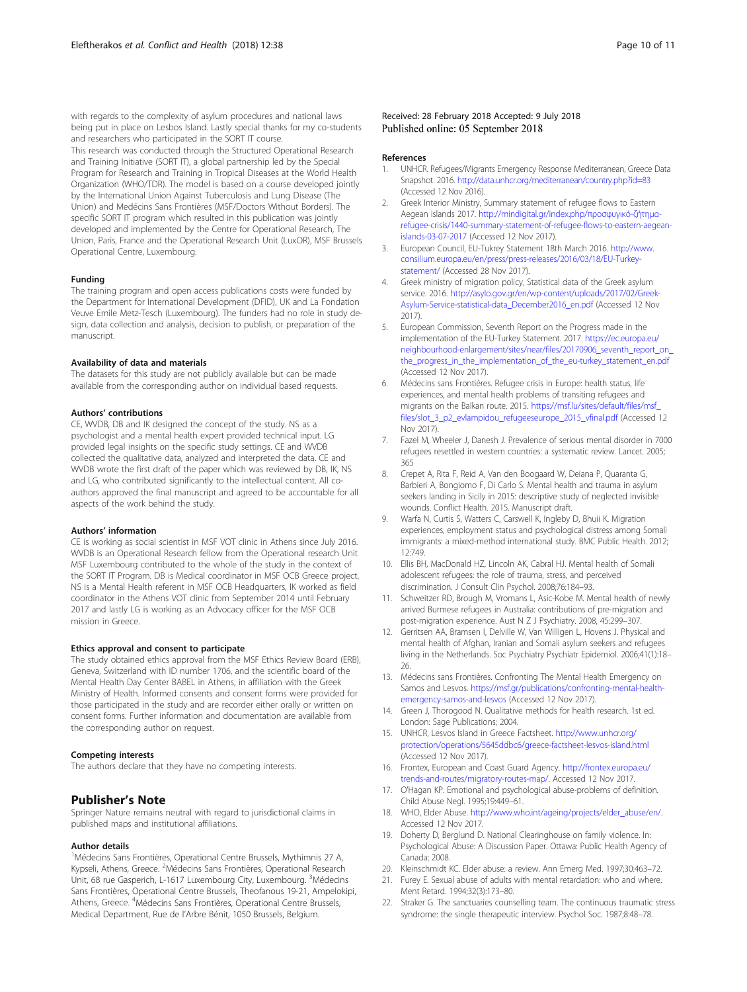<span id="page-9-0"></span>with regards to the complexity of asylum procedures and national laws being put in place on Lesbos Island. Lastly special thanks for my co-students and researchers who participated in the SORT IT course. This research was conducted through the Structured Operational Research and Training Initiative (SORT IT), a global partnership led by the Special Program for Research and Training in Tropical Diseases at the World Health Organization (WHO/TDR). The model is based on a course developed jointly by the International Union Against Tuberculosis and Lung Disease (The Union) and Medécins Sans Frontières (MSF/Doctors Without Borders). The specific SORT IT program which resulted in this publication was jointly developed and implemented by the Centre for Operational Research, The Union, Paris, France and the Operational Research Unit (LuxOR), MSF Brussels Operational Centre, Luxembourg.

# Funding

The training program and open access publications costs were funded by the Department for International Development (DFID), UK and La Fondation Veuve Emile Metz-Tesch (Luxembourg). The funders had no role in study design, data collection and analysis, decision to publish, or preparation of the manuscript.

## Availability of data and materials

The datasets for this study are not publicly available but can be made available from the corresponding author on individual based requests.

## Authors' contributions

CE, WVDB, DB and IK designed the concept of the study. NS as a psychologist and a mental health expert provided technical input. LG provided legal insights on the specific study settings. CE and WVDB collected the qualitative data, analyzed and interpreted the data. CE and WVDB wrote the first draft of the paper which was reviewed by DB, IK, NS and LG, who contributed significantly to the intellectual content. All coauthors approved the final manuscript and agreed to be accountable for all aspects of the work behind the study.

#### Authors' information

CE is working as social scientist in MSF VOT clinic in Athens since July 2016. WVDB is an Operational Research fellow from the Operational research Unit MSF Luxembourg contributed to the whole of the study in the context of the SORT IT Program. DB is Medical coordinator in MSF OCB Greece project, NS is a Mental Health referent in MSF OCB Headquarters, IK worked as field coordinator in the Athens VOT clinic from September 2014 until February 2017 and lastly LG is working as an Advocacy officer for the MSF OCB mission in Greece.

## Ethics approval and consent to participate

The study obtained ethics approval from the MSF Ethics Review Board (ERB), Geneva, Switzerland with ID number 1706, and the scientific board of the Mental Health Day Center BABEL in Athens, in affiliation with the Greek Ministry of Health. Informed consents and consent forms were provided for those participated in the study and are recorder either orally or written on consent forms. Further information and documentation are available from the corresponding author on request.

# Competing interests

The authors declare that they have no competing interests.

# Publisher's Note

Springer Nature remains neutral with regard to jurisdictional claims in published maps and institutional affiliations.

## Author details

<sup>1</sup>Médecins Sans Frontières, Operational Centre Brussels, Mythimnis 27 A, Kypseli, Athens, Greece. <sup>2</sup>Médecins Sans Frontières, Operational Research Unit, 68 rue Gasperich, L-1617 Luxembourg City, Luxembourg. <sup>3</sup>Médecins Sans Frontières, Operational Centre Brussels, Theofanous 19-21, Ampelokipi, Athens, Greece. <sup>4</sup>Médecins Sans Frontières, Operational Centre Brussels, Medical Department, Rue de l'Arbre Bénit, 1050 Brussels, Belgium.

## Received: 28 February 2018 Accepted: 9 July 2018 Published online: 05 September 2018

## References

- 1. UNHCR. Refugees/Migrants Emergency Response Mediterranean, Greece Data Snapshot. 2016. <http://data.unhcr.org/mediterranean/country.php?id=83> (Accessed 12 Nov 2016).
- Greek Interior Ministry, Summary statement of refugee flows to Eastern Aegean islands 2017. [http://mindigital.gr/index.php/](http://mindigital.gr/index.php/%CF%80%CF%81%CE%BF%CF%83%CF%86%CF%85%CE%B3%CE%B9%CE%BA%CF%8C-%CE%B6%CE%AE%CF%84%CE%B7%CE%BC%CE%B1-refugee-crisis/1440-summary-statement-of-refugee-flows-to-eastern-aegean-islands-03-07-2017)προσφυγικό-ζήτημα[refugee-crisis/1440-summary-statement-of-refugee-flows-to-eastern-aegean](http://mindigital.gr/index.php/%CF%80%CF%81%CE%BF%CF%83%CF%86%CF%85%CE%B3%CE%B9%CE%BA%CF%8C-%CE%B6%CE%AE%CF%84%CE%B7%CE%BC%CE%B1-refugee-crisis/1440-summary-statement-of-refugee-flows-to-eastern-aegean-islands-03-07-2017)[islands-03-07-2017](http://mindigital.gr/index.php/%CF%80%CF%81%CE%BF%CF%83%CF%86%CF%85%CE%B3%CE%B9%CE%BA%CF%8C-%CE%B6%CE%AE%CF%84%CE%B7%CE%BC%CE%B1-refugee-crisis/1440-summary-statement-of-refugee-flows-to-eastern-aegean-islands-03-07-2017) (Accessed 12 Nov 2017).
- 3. European Council, EU-Tukrey Statement 18th March 2016. [http://www.](http://www.consilium.europa.eu/en/press/press-releases/2016/03/18/EU-Turkey-statement/) [consilium.europa.eu/en/press/press-releases/2016/03/18/EU-Turkey](http://www.consilium.europa.eu/en/press/press-releases/2016/03/18/EU-Turkey-statement/)[statement/](http://www.consilium.europa.eu/en/press/press-releases/2016/03/18/EU-Turkey-statement/) (Accessed 28 Nov 2017).
- 4. Greek ministry of migration policy, Statistical data of the Greek asylum service. 2016. [http://asylo.gov.gr/en/wp-content/uploads/2017/02/Greek-](http://asylo.gov.gr/en/wp-content/uploads/2017/02/Greek-Asylum-Service-statistical-data_December2016_en.pdf)[Asylum-Service-statistical-data\\_December2016\\_en.pdf](http://asylo.gov.gr/en/wp-content/uploads/2017/02/Greek-Asylum-Service-statistical-data_December2016_en.pdf) (Accessed 12 Nov 2017).
- 5. European Commission, Seventh Report on the Progress made in the implementation of the EU-Turkey Statement. 2017. [https://ec.europa.eu/](https://ec.europa.eu/neighbourhood-enlargement/sites/near/files/20170906_seventh_report_on_the_progress_in_the_implementation_of_the_eu-turkey_statement_en.pdf) [neighbourhood-enlargement/sites/near/files/20170906\\_seventh\\_report\\_on\\_](https://ec.europa.eu/neighbourhood-enlargement/sites/near/files/20170906_seventh_report_on_the_progress_in_the_implementation_of_the_eu-turkey_statement_en.pdf) [the\\_progress\\_in\\_the\\_implementation\\_of\\_the\\_eu-turkey\\_statement\\_en.pdf](https://ec.europa.eu/neighbourhood-enlargement/sites/near/files/20170906_seventh_report_on_the_progress_in_the_implementation_of_the_eu-turkey_statement_en.pdf) (Accessed 12 Nov 2017).
- Médecins sans Frontières. Refugee crisis in Europe: health status, life experiences, and mental health problems of transiting refugees and migrants on the Balkan route. 2015. [https://msf.lu/sites/default/files/msf\\_](https://msf.lu/sites/default/files/msf_files/slot_3_p2_evlampidou_refugeeseurope_2015_vfinal.pdf) [files/slot\\_3\\_p2\\_evlampidou\\_refugeeseurope\\_2015\\_vfinal.pdf](https://msf.lu/sites/default/files/msf_files/slot_3_p2_evlampidou_refugeeseurope_2015_vfinal.pdf) (Accessed 12 Nov 2017).
- 7. Fazel M, Wheeler J, Danesh J. Prevalence of serious mental disorder in 7000 refugees resettled in western countries: a systematic review. Lancet. 2005; 365
- 8. Crepet A, Rita F, Reid A, Van den Boogaard W, Deiana P, Quaranta G, Barbieri A, Bongiomo F, Di Carlo S. Mental health and trauma in asylum seekers landing in Sicily in 2015: descriptive study of neglected invisible wounds. Conflict Health. 2015. Manuscript draft.
- 9. Warfa N, Curtis S, Watters C, Carswell K, Ingleby D, Bhuii K. Migration experiences, employment status and psychological distress among Somali immigrants: a mixed-method international study. BMC Public Health. 2012; 12:749.
- 10. Ellis BH, MacDonald HZ, Lincoln AK, Cabral HJ. Mental health of Somali adolescent refugees: the role of trauma, stress, and perceived discrimination. J Consult Clin Psychol. 2008;76:184–93.
- 11. Schweitzer RD, Brough M, Vromans L, Asic-Kobe M. Mental health of newly arrived Burmese refugees in Australia: contributions of pre-migration and post-migration experience. Aust N Z J Psychiatry. 2008, 45:299–307.
- 12. Gerritsen AA, Bramsen I, Delville W, Van Willigen L, Hovens J. Physical and mental health of Afghan, Iranian and Somali asylum seekers and refugees living in the Netherlands. Soc Psychiatry Psychiatr Epidemiol. 2006;41(1):18– 26.
- 13. Médecins sans Frontières. Confronting The Mental Health Emergency on Samos and Lesvos. [https://msf.gr/publications/confronting-mental-health](https://msf.gr/publications/confronting-mental-health-emergency-samos-and-lesvos)[emergency-samos-and-lesvos](https://msf.gr/publications/confronting-mental-health-emergency-samos-and-lesvos) (Accessed 12 Nov 2017).
- 14. Green J, Thorogood N. Qualitative methods for health research. 1st ed. London: Sage Publications; 2004.
- 15. UNHCR, Lesvos Island in Greece Factsheet. [http://www.unhcr.org/](http://www.unhcr.org/protection/operations/5645ddbc6/greece-factsheet-lesvos-island.html) [protection/operations/5645ddbc6/greece-factsheet-lesvos-island.html](http://www.unhcr.org/protection/operations/5645ddbc6/greece-factsheet-lesvos-island.html) (Accessed 12 Nov 2017).
- 16. Frontex, European and Coast Guard Agency. [http://frontex.europa.eu/](http://frontex.europa.eu/trends-and-routes/migratory-routes-map/) [trends-and-routes/migratory-routes-map/](http://frontex.europa.eu/trends-and-routes/migratory-routes-map/). Accessed 12 Nov 2017.
- 17. O'Hagan KP. Emotional and psychological abuse-problems of definition. Child Abuse Negl. 1995;19:449–61.
- 18. WHO, Elder Abuse. [http://www.who.int/ageing/projects/elder\\_abuse/en/](http://www.who.int/ageing/projects/elder_abuse/en/). Accessed 12 Nov 2017.
- 19. Doherty D, Berglund D. National Clearinghouse on family violence. In: Psychological Abuse: A Discussion Paper. Ottawa: Public Health Agency of Canada; 2008.
- 20. Kleinschmidt KC. Elder abuse: a review. Ann Emerg Med. 1997;30:463–72.
- 21. Furey E. Sexual abuse of adults with mental retardation: who and where. Ment Retard. 1994;32(3):173–80.
- 22. Straker G. The sanctuaries counselling team. The continuous traumatic stress syndrome: the single therapeutic interview. Psychol Soc. 1987;8:48–78.